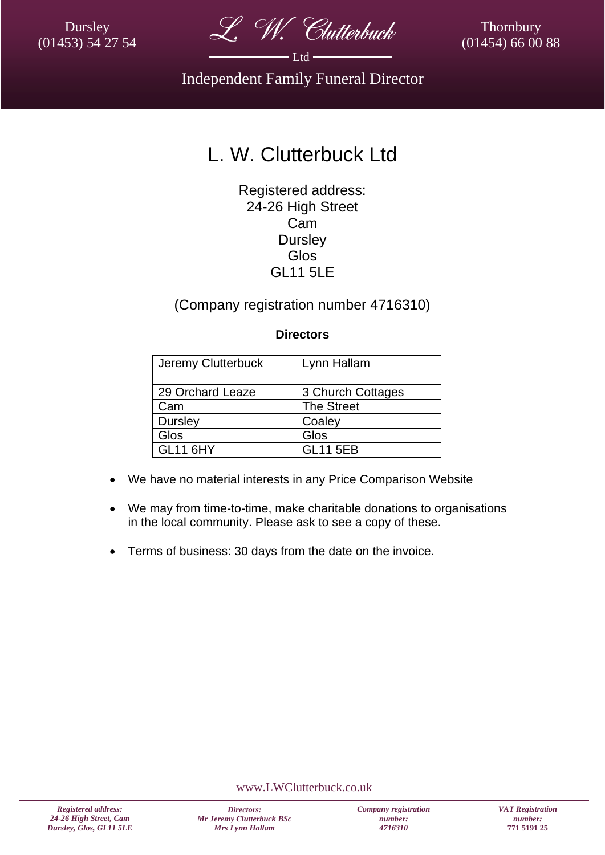Dursley (01453) 54 27 54



Thornbury (01454) 66 00 88

Independent Family Funeral Director

# L. W. Clutterbuck Ltd

Registered address: 24-26 High Street Cam **Dursley** Glos GL11 5LE

### (Company registration number 4716310)

#### **Directors**

| Jeremy Clutterbuck | Lynn Hallam       |
|--------------------|-------------------|
|                    |                   |
| 29 Orchard Leaze   | 3 Church Cottages |
| Cam                | <b>The Street</b> |
| Dursley            | Coaley            |
| Glos               | Glos              |
| <b>GL11 6HY</b>    | <b>GL11 5EB</b>   |

- We have no material interests in any Price Comparison Website
- We may from time-to-time, make charitable donations to organisations in the local community. Please ask to see a copy of these.
- Terms of business: 30 days from the date on the invoice.

www.LWClutterbuck.co.uk